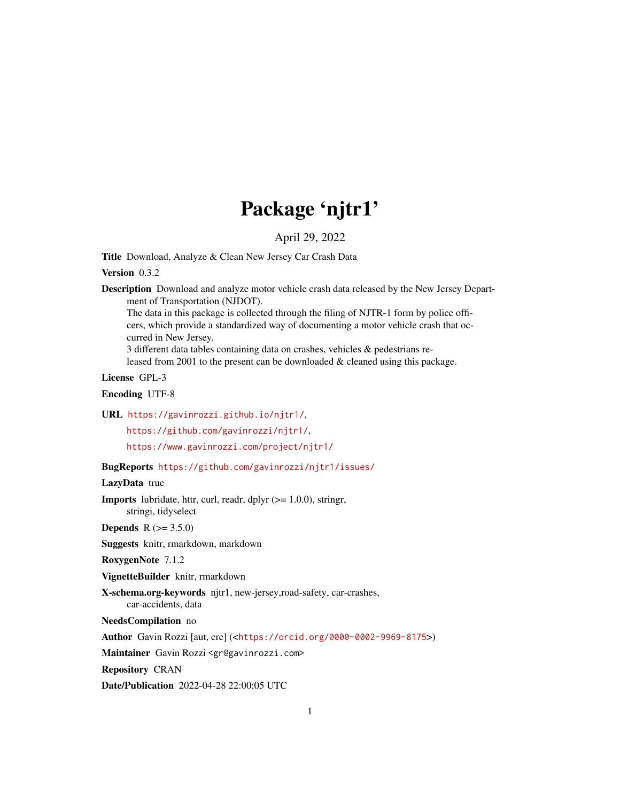# Package 'njtr1'

April 29, 2022

Title Download, Analyze & Clean New Jersey Car Crash Data

Version 0.3.2

Description Download and analyze motor vehicle crash data released by the New Jersey Department of Transportation (NJDOT).

The data in this package is collected through the filing of NJTR-1 form by police officers, which provide a standardized way of documenting a motor vehicle crash that occurred in New Jersey.

3 different data tables containing data on crashes, vehicles & pedestrians released from 2001 to the present can be downloaded & cleaned using this package.

License GPL-3

Encoding UTF-8

URL <https://gavinrozzi.github.io/njtr1/>,

<https://github.com/gavinrozzi/njtr1/>,

<https://www.gavinrozzi.com/project/njtr1/>

BugReports <https://github.com/gavinrozzi/njtr1/issues/>

LazyData true

**Imports** lubridate, httr, curl, readr, dplyr  $(>= 1.0.0)$ , stringr, stringi, tidyselect

**Depends** R  $(>= 3.5.0)$ 

Suggests knitr, rmarkdown, markdown

RoxygenNote 7.1.2

VignetteBuilder knitr, rmarkdown

X-schema.org-keywords njtr1, new-jersey,road-safety, car-crashes,

car-accidents, data

NeedsCompilation no

Author Gavin Rozzi [aut, cre] (<<https://orcid.org/0000-0002-9969-8175>>)

Maintainer Gavin Rozzi <gr@gavinrozzi.com>

Repository CRAN

Date/Publication 2022-04-28 22:00:05 UTC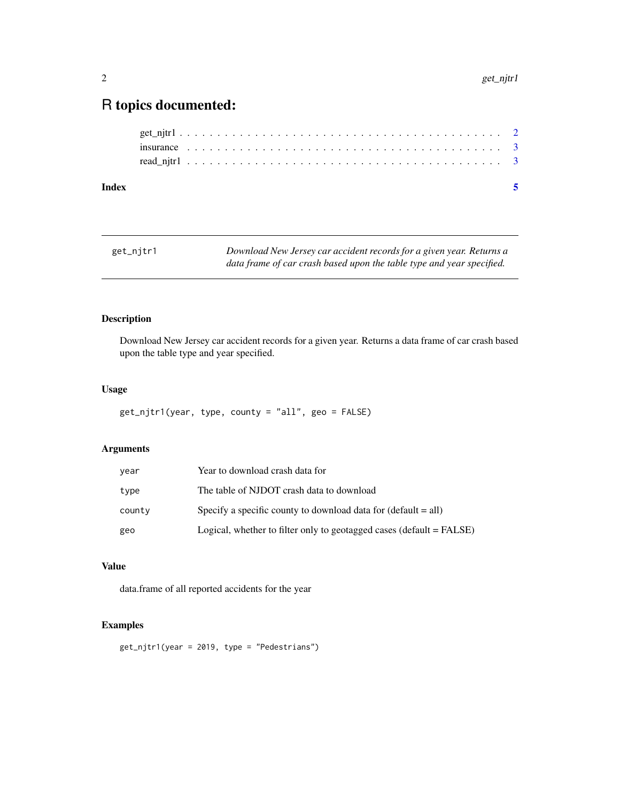## <span id="page-1-0"></span>R topics documented:

| Index |  |  |  |  |  |  |  |  |  |  |  |  |  |  |  |  |  |  |  |  |
|-------|--|--|--|--|--|--|--|--|--|--|--|--|--|--|--|--|--|--|--|--|
|       |  |  |  |  |  |  |  |  |  |  |  |  |  |  |  |  |  |  |  |  |
|       |  |  |  |  |  |  |  |  |  |  |  |  |  |  |  |  |  |  |  |  |
|       |  |  |  |  |  |  |  |  |  |  |  |  |  |  |  |  |  |  |  |  |

| get_njtr1 | Download New Jersey car accident records for a given year. Returns a  |
|-----------|-----------------------------------------------------------------------|
|           | data frame of car crash based upon the table type and year specified. |

#### Description

Download New Jersey car accident records for a given year. Returns a data frame of car crash based upon the table type and year specified.

#### Usage

```
get_njtr1(year, type, county = "all", geo = FALSE)
```
#### Arguments

| year   | Year to download crash data for                                      |
|--------|----------------------------------------------------------------------|
| type   | The table of NJDOT crash data to download                            |
| county | Specify a specific county to download data for $(default = all)$     |
| geo    | Logical, whether to filter only to geotagged cases (default = FALSE) |

#### Value

data.frame of all reported accidents for the year

#### Examples

get\_njtr1(year = 2019, type = "Pedestrians")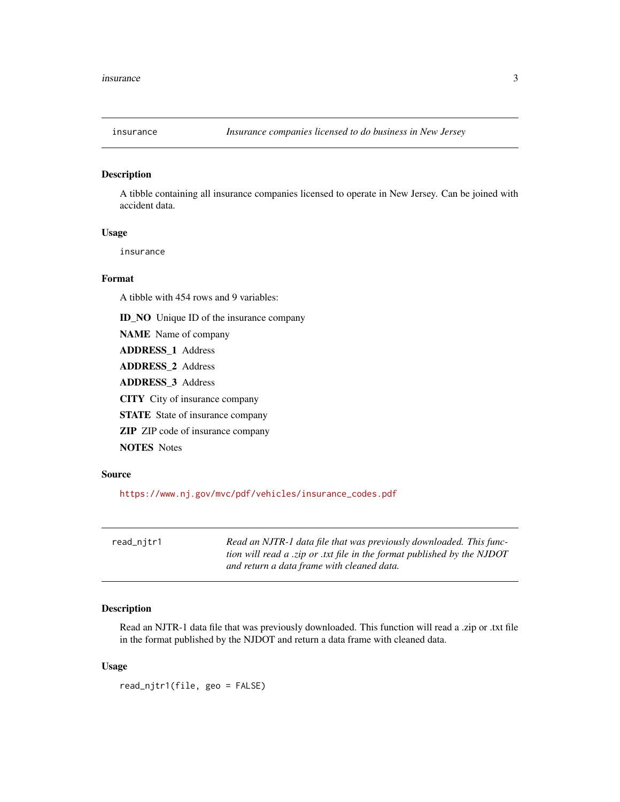<span id="page-2-0"></span>

#### Description

A tibble containing all insurance companies licensed to operate in New Jersey. Can be joined with accident data.

#### Usage

insurance

#### Format

A tibble with 454 rows and 9 variables:

ID\_NO Unique ID of the insurance company

NAME Name of company

ADDRESS\_1 Address

ADDRESS\_2 Address

ADDRESS\_3 Address

CITY City of insurance company

STATE State of insurance company

ZIP ZIP code of insurance company

NOTES Notes

#### Source

[https://www.nj.gov/mvc/pdf/vehicles/insurance\\_codes.pdf](https://www.nj.gov/mvc/pdf/vehicles/insurance_codes.pdf)

| read_njtr1 | Read an NJTR-1 data file that was previously downloaded. This func-     |
|------------|-------------------------------------------------------------------------|
|            | tion will read a .zip or .txt file in the format published by the NJDOT |
|            | and return a data frame with cleaned data.                              |

#### Description

Read an NJTR-1 data file that was previously downloaded. This function will read a .zip or .txt file in the format published by the NJDOT and return a data frame with cleaned data.

#### Usage

read\_njtr1(file, geo = FALSE)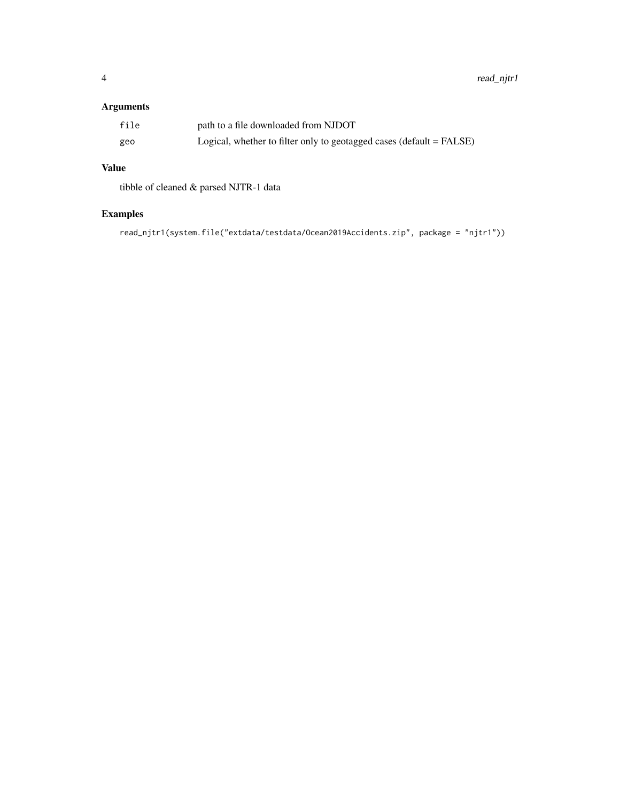#### Arguments

| file | path to a file downloaded from NJDOT                                 |
|------|----------------------------------------------------------------------|
| geo  | Logical, whether to filter only to geotagged cases (default = FALSE) |

#### Value

tibble of cleaned & parsed NJTR-1 data

### Examples

read\_njtr1(system.file("extdata/testdata/Ocean2019Accidents.zip", package = "njtr1"))